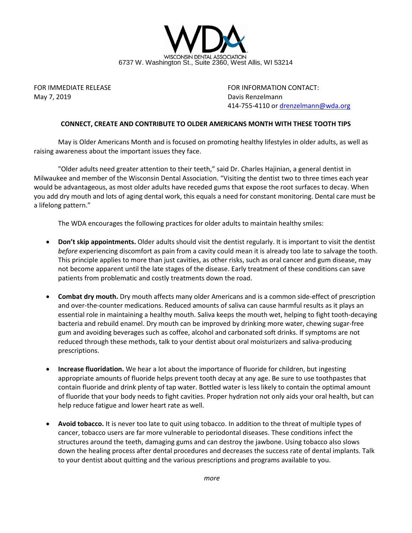

May 7, 2019 Davis Renzelmann

FOR IMMEDIATE RELEASE FOR INFORMATION CONTACT: 414-755-4110 o[r drenzelmann@wda.org](mailto:drenzelmann@wda.org)

## **CONNECT, CREATE AND CONTRIBUTE TO OLDER AMERICANS MONTH WITH THESE TOOTH TIPS**

May is Older Americans Month and is focused on promoting healthy lifestyles in older adults, as well as raising awareness about the important issues they face.

"Older adults need greater attention to their teeth," said Dr. Charles Hajinian, a general dentist in Milwaukee and member of the Wisconsin Dental Association. "Visiting the dentist two to three times each year would be advantageous, as most older adults have receded gums that expose the root surfaces to decay. When you add dry mouth and lots of aging dental work, this equals a need for constant monitoring. Dental care must be a lifelong pattern."

The WDA encourages the following practices for older adults to maintain healthy smiles:

- **Don't skip appointments.** Older adults should visit the dentist regularly. It is important to visit the dentist *before* experiencing discomfort as pain from a cavity could mean it is already too late to salvage the tooth. This principle applies to more than just cavities, as other risks, such as oral cancer and gum disease, may not become apparent until the late stages of the disease. Early treatment of these conditions can save patients from problematic and costly treatments down the road.
- **Combat dry mouth.** Dry mouth affects many older Americans and is a common side-effect of prescription and over-the-counter medications. Reduced amounts of saliva can cause harmful results as it plays an essential role in maintaining a healthy mouth. Saliva keeps the mouth wet, helping to fight tooth-decaying bacteria and rebuild enamel. Dry mouth can be improved by drinking more water, chewing sugar-free gum and avoiding beverages such as coffee, alcohol and carbonated soft drinks. If symptoms are not reduced through these methods, talk to your dentist about oral moisturizers and saliva-producing prescriptions.
- **Increase fluoridation.** We hear a lot about the importance of fluoride for children, but ingesting appropriate amounts of fluoride helps prevent tooth decay at any age. Be sure to use toothpastes that contain fluoride and drink plenty of tap water. Bottled water is less likely to contain the optimal amount of fluoride that your body needs to fight cavities. Proper hydration not only aids your oral health, but can help reduce fatigue and lower heart rate as well.
- **Avoid tobacco.** It is never too late to quit using tobacco. In addition to the threat of multiple types of cancer, tobacco users are far more vulnerable to periodontal diseases. These conditions infect the structures around the teeth, damaging gums and can destroy the jawbone. Using tobacco also slows down the healing process after dental procedures and decreases the success rate of dental implants. Talk to your dentist about quitting and the various prescriptions and programs available to you.